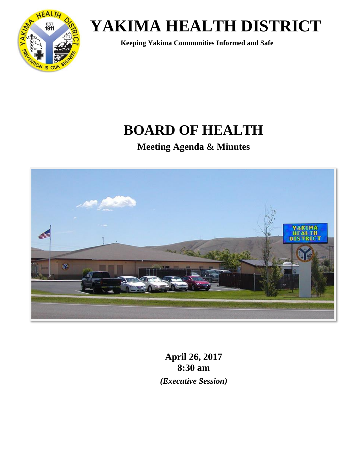

 **Keeping Yakima Communities Informed and Safe**

## **BOARD OF HEALTH**

**Meeting Agenda & Minutes**



**April 26, 2017 8:30 am** *(Executive Session)*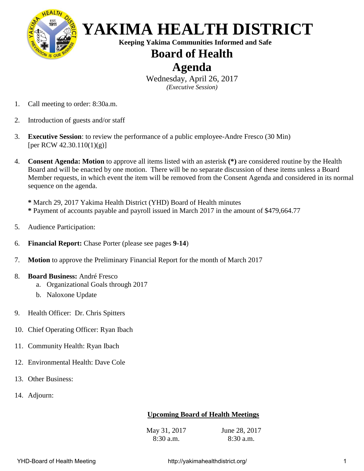

 **Keeping Yakima Communities Informed and Safe**

### **Board of Health**

### **Agenda**

Wednesday, April 26, 2017 *(Executive Session)*

- 1. Call meeting to order: 8:30a.m.
- 2. Introduction of guests and/or staff
- 3. **Executive Session**: to review the performance of a public employee-Andre Fresco (30 Min) [per RCW 42.30.110(1)(g)]
- 4. **Consent Agenda: Motion** to approve all items listed with an asterisk **(\*)** are considered routine by the Health Board and will be enacted by one motion. There will be no separate discussion of these items unless a Board Member requests, in which event the item will be removed from the Consent Agenda and considered in its normal sequence on the agenda.

**\*** March 29, 2017 Yakima Health District (YHD) Board of Health minutes **\*** Payment of accounts payable and payroll issued in March 2017 in the amount of \$479,664.77

- 5. Audience Participation:
- 6. **Financial Report:** Chase Porter (please see pages **9-14**)
- 7. **Motion** to approve the Preliminary Financial Report for the month of March 2017
- 8. **Board Business:** André Fresco
	- a. Organizational Goals through 2017
	- b. Naloxone Update
- 9. Health Officer: Dr. Chris Spitters
- 10. Chief Operating Officer: Ryan Ibach
- 11. Community Health: Ryan Ibach
- 12. Environmental Health: Dave Cole
- 13. Other Business:
- 14. Adjourn:

#### **Upcoming Board of Health Meetings**

May 31, 2017 8:30 a.m. June 28, 2017 8:30 a.m.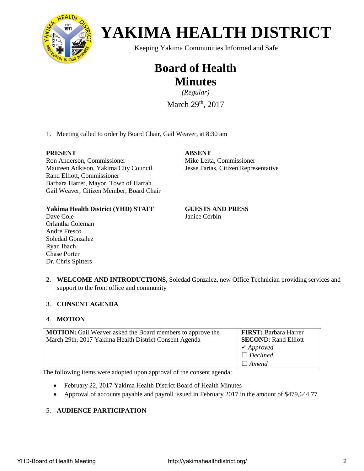

Keeping Yakima Communities Informed and Safe

## **Board of Health Minutes**

*(Regular)*

March 29<sup>th</sup>, 2017

1. Meeting called to order by Board Chair, Gail Weaver, at 8:30 am

#### **PRESENT**

Ron Anderson, Commissioner Maureen Adkison, Yakima City Council Rand Elliott, Commissioner Barbara Harrer, Mayor, Town of Harrah Gail Weaver, Citizen Member, Board Chair

#### **ABSENT**

Mike Leita, Commissioner Jesse Farias, Citizen Representative

#### **Yakima Health District (YHD) STAFF**

Janice Corbin

**GUESTS AND PRESS**

- Dave Cole Orlantha Coleman Andre Fresco Soledad Gonzalez Ryan Ibach Chase Porter Dr. Chris Spitters
- 2. **WELCOME AND INTRODUCTIONS,** Soledad Gonzalez, new Office Technician providing services and support to the front office and community

#### 3. **CONSENT AGENDA**

#### 4. **MOTION**

| <b>MOTION:</b> Gail Weaver asked the Board members to approve the | <b>FIRST: Barbara Harrer</b> |
|-------------------------------------------------------------------|------------------------------|
| March 29th, 2017 Yakima Health District Consent Agenda            | <b>SECOND: Rand Elliott</b>  |
|                                                                   | $\checkmark$ Approved        |
|                                                                   | $\Box$ Declined              |
|                                                                   | $\Box$ Amend                 |

The following items were adopted upon approval of the consent agenda:

- February 22, 2017 Yakima Health District Board of Health Minutes
- Approval of accounts payable and payroll issued in February 2017 in the amount of \$479,644.77

#### 5. **AUDIENCE PARTICIPATION**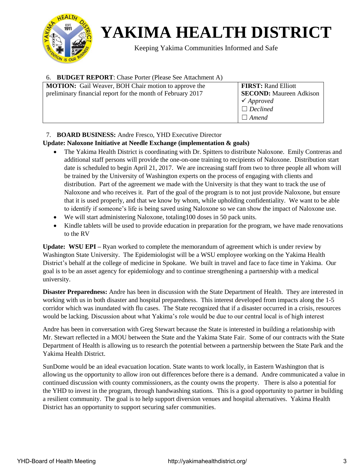

Keeping Yakima Communities Informed and Safe

#### 6. **BUDGET REPORT**: Chase Porter (Please See Attachment A)

| <b>MOTION:</b> Gail Weaver, BOH Chair motion to approve the | <b>FIRST: Rand Elliott</b>     |
|-------------------------------------------------------------|--------------------------------|
| preliminary financial report for the month of February 2017 | <b>SECOND:</b> Maureen Adkison |
|                                                             | $\checkmark$ Approved          |
|                                                             | $\Box$ Declined                |
|                                                             | $\Box$ Amend                   |

#### 7. **BOARD BUSINESS:** Andre Fresco, YHD Executive Director

#### **Update: Naloxone Initiative at Needle Exchange (implementation & goals)**

- The Yakima Health District is coordinating with Dr. Spitters to distribute Naloxone. Emily Contreras and additional staff persons will provide the one-on-one training to recipients of Naloxone. Distribution start date is scheduled to begin April 21, 2017. We are increasing staff from two to three people all whom will be trained by the University of Washington experts on the process of engaging with clients and distribution. Part of the agreement we made with the University is that they want to track the use of Naloxone and who receives it. Part of the goal of the program is to not just provide Naloxone, but ensure that it is used properly, and that we know by whom, while upholding confidentiality. We want to be able to identify if someone's life is being saved using Naloxone so we can show the impact of Naloxone use.
- We will start administering Naloxone, totaling100 doses in 50 pack units.
- Kindle tablets will be used to provide education in preparation for the program, we have made renovations to the RV

**Update: WSU EPI –** Ryan worked to complete the memorandum of agreement which is under review by Washington State University. The Epidemiologist will be a WSU employee working on the Yakima Health District's behalf at the college of medicine in Spokane. We built in travel and face to face time in Yakima. Our goal is to be an asset agency for epidemiology and to continue strengthening a partnership with a medical university.

**Disaster Preparedness:** Andre has been in discussion with the State Department of Health. They are interested in working with us in both disaster and hospital preparedness. This interest developed from impacts along the 1-5 corridor which was inundated with flu cases. The State recognized that if a disaster occurred in a crisis, resources would be lacking. Discussion about what Yakima's role would be due to our central local is of high interest

Andre has been in conversation with Greg Stewart because the State is interested in building a relationship with Mr. Stewart reflected in a MOU between the State and the Yakima State Fair. Some of our contracts with the State Department of Health is allowing us to research the potential between a partnership between the State Park and the Yakima Health District.

SunDome would be an ideal evacuation location. State wants to work locally, in Eastern Washington that is allowing us the opportunity to allow iron out differences before there is a demand. Andre communicated a value in continued discussion with county commissioners, as the county owns the property. There is also a potential for the YHD to invest in the program, through handwashing stations. This is a good opportunity to partner in building a resilient community. The goal is to help support diversion venues and hospital alternatives. Yakima Health District has an opportunity to support securing safer communities.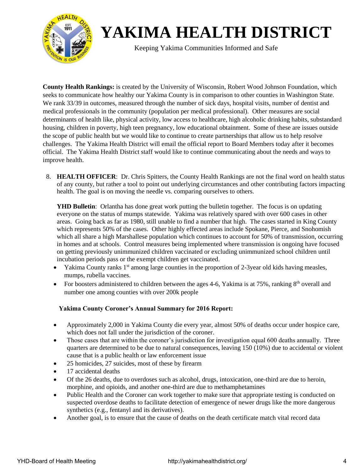

Keeping Yakima Communities Informed and Safe

**County Health Rankings:** is created by the University of Wisconsin, Robert Wood Johnson Foundation, which seeks to communicate how healthy our Yakima County is in comparison to other counties in Washington State. We rank 33/39 in outcomes, measured through the number of sick days, hospital visits, number of dentist and medical professionals in the community (population per medical professional). Other measures are social determinants of health like, physical activity, low access to healthcare, high alcoholic drinking habits, substandard housing, children in poverty, high teen pregnancy, low educational obtainment. Some of these are issues outside the scope of public health but we would like to continue to create partnerships that allow us to help resolve challenges. The Yakima Health District will email the official report to Board Members today after it becomes official. The Yakima Health District staff would like to continue communicating about the needs and ways to improve health.

8. **HEALTH OFFICER**: Dr. Chris Spitters, the County Health Rankings are not the final word on health status of any county, but rather a tool to point out underlying circumstances and other contributing factors impacting health. The goal is on moving the needle vs. comparing ourselves to others.

**YHD Bulletin**: Orlantha has done great work putting the bulletin together. The focus is on updating everyone on the status of mumps statewide. Yakima was relatively spared with over 600 cases in other areas. Going back as far as 1980, still unable to find a number that high. The cases started in King County which represents 50% of the cases. Other highly effected areas include Spokane, Pierce, and Snohomish which all share a high Marshallese population which continues to account for 50% of transmission, occurring in homes and at schools. Control measures being implemented where transmission is ongoing have focused on getting previously unimmunized children vaccinated or excluding unimmunized school children until incubation periods pass or the exempt children get vaccinated.

- Yakima County ranks  $1<sup>st</sup>$  among large counties in the proportion of 2-3year old kids having measles, mumps, rubella vaccines.
- For boosters administered to children between the ages 4-6, Yakima is at 75%, ranking  $8<sup>th</sup>$  overall and number one among counties with over 200k people

#### **Yakima County Coroner's Annual Summary for 2016 Report:**

- Approximately 2,000 in Yakima County die every year, almost 50% of deaths occur under hospice care, which does not fall under the jurisdiction of the coroner.
- Those cases that are within the coroner's jurisdiction for investigation equal 600 deaths annually. Three quarters are determined to be due to natural consequences, leaving 150 (10%) due to accidental or violent cause that is a public health or law enforcement issue
- 25 homicides, 27 suicides, most of these by firearm
- 17 accidental deaths
- Of the 26 deaths, due to overdoses such as alcohol, drugs, intoxication, one-third are due to heroin, morphine, and opioids, and another one-third are due to methamphetamines
- Public Health and the Coroner can work together to make sure that appropriate testing is conducted on suspected overdose deaths to facilitate detection of emergence of newer drugs like the more dangerous synthetics (e.g., fentanyl and its derivatives).
- Another goal, is to ensure that the cause of deaths on the death certificate match vital record data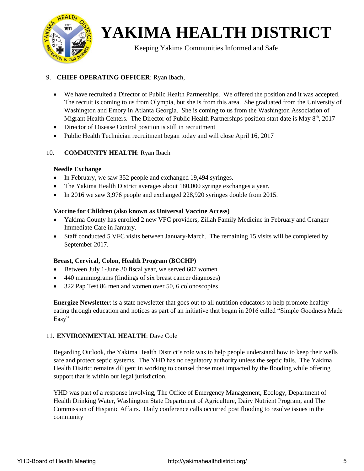

Keeping Yakima Communities Informed and Safe

#### 9. **CHIEF OPERATING OFFICER**: Ryan Ibach,

- We have recruited a Director of Public Health Partnerships. We offered the position and it was accepted. The recruit is coming to us from Olympia, but she is from this area. She graduated from the University of Washington and Emory in Atlanta Georgia. She is coming to us from the Washington Association of Migrant Health Centers. The Director of Public Health Partnerships position start date is May 8<sup>th</sup>, 2017
- Director of Disease Control position is still in recruitment
- Public Health Technician recruitment began today and will close April 16, 2017

#### 10. **COMMUNITY HEALTH**: Ryan Ibach

#### **Needle Exchange**

- In February, we saw 352 people and exchanged 19,494 syringes.
- The Yakima Health District averages about 180,000 syringe exchanges a year.
- In 2016 we saw 3,976 people and exchanged 228,920 syringes double from 2015.

#### **Vaccine for Children (also known as Universal Vaccine Access)**

- Yakima County has enrolled 2 new VFC providers, Zillah Family Medicine in February and Granger Immediate Care in January.
- Staff conducted 5 VFC visits between January-March. The remaining 15 visits will be completed by September 2017.

#### **Breast, Cervical, Colon, Health Program (BCCHP)**

- Between July 1-June 30 fiscal year, we served 607 women
- 440 mammograms (findings of six breast cancer diagnoses)
- 322 Pap Test 86 men and women over 50, 6 colonoscopies

**Energize Newsletter**: is a state newsletter that goes out to all nutrition educators to help promote healthy eating through education and notices as part of an initiative that began in 2016 called "Simple Goodness Made Easy"

#### 11. **ENVIRONMENTAL HEALTH**: Dave Cole

Regarding Outlook, the Yakima Health District's role was to help people understand how to keep their wells safe and protect septic systems. The YHD has no regulatory authority unless the septic fails. The Yakima Health District remains diligent in working to counsel those most impacted by the flooding while offering support that is within our legal jurisdiction.

YHD was part of a response involving, The Office of Emergency Management, Ecology, Department of Health Drinking Water, Washington State Department of Agriculture, Dairy Nutrient Program, and The Commission of Hispanic Affairs. Daily conference calls occurred post flooding to resolve issues in the community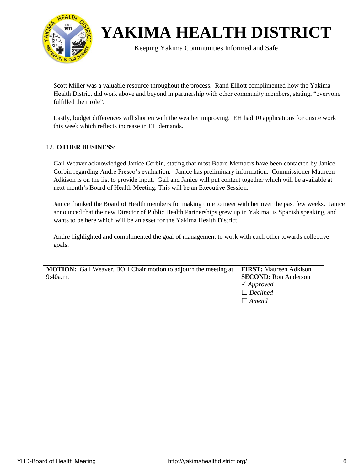

Keeping Yakima Communities Informed and Safe

Scott Miller was a valuable resource throughout the process. Rand Elliott complimented how the Yakima Health District did work above and beyond in partnership with other community members, stating, "everyone fulfilled their role".

Lastly, budget differences will shorten with the weather improving. EH had 10 applications for onsite work this week which reflects increase in EH demands.

#### 12. **OTHER BUSINESS**:

Gail Weaver acknowledged Janice Corbin, stating that most Board Members have been contacted by Janice Corbin regarding Andre Fresco's evaluation. Janice has preliminary information. Commissioner Maureen Adkison is on the list to provide input. Gail and Janice will put content together which will be available at next month's Board of Health Meeting. This will be an Executive Session.

Janice thanked the Board of Health members for making time to meet with her over the past few weeks. Janice announced that the new Director of Public Health Partnerships grew up in Yakima, is Spanish speaking, and wants to be here which will be an asset for the Yakima Health District.

Andre highlighted and complimented the goal of management to work with each other towards collective goals.

| <b>MOTION:</b> Gail Weaver, BOH Chair motion to adjourn the meeting at | <b>FIRST:</b> Maureen Adkison |
|------------------------------------------------------------------------|-------------------------------|
| 9:40a.m.                                                               | <b>SECOND:</b> Ron Anderson   |
|                                                                        | $\checkmark$ Approved         |
|                                                                        | $\Box$ Declined               |
|                                                                        | $\Box$ Amend                  |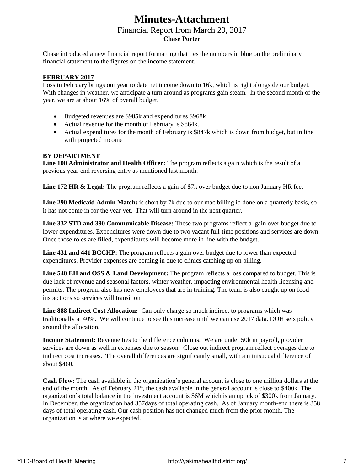### **Minutes-Attachment** Financial Report from March 29, 2017 **Chase Porter**

Chase introduced a new financial report formatting that ties the numbers in blue on the preliminary financial statement to the figures on the income statement.

#### **FEBRUARY 2017**

Loss in February brings our year to date net income down to 16k, which is right alongside our budget. With changes in weather, we anticipate a turn around as programs gain steam. In the second month of the year, we are at about 16% of overall budget,

- Budgeted revenues are \$985k and expenditures \$968k
- Actual revenue for the month of February is \$864k.
- Actual expenditures for the month of February is \$847k which is down from budget, but in line with projected income

#### **BY DEPARTMENT**

**Line 100 Administrator and Health Officer:** The program reflects a gain which is the result of a previous year-end reversing entry as mentioned last month.

**Line 172 HR & Legal:** The program reflects a gain of \$7k over budget due to non January HR fee.

**Line 290 Medicaid Admin Match:** is short by 7k due to our mac billing id done on a quarterly basis, so it has not come in for the year yet. That will turn around in the next quarter.

**Line 332 STD and 390 Communicable Disease:** These two programs reflect a gain over budget due to lower expenditures. Expenditures were down due to two vacant full-time positions and services are down. Once those roles are filled, expenditures will become more in line with the budget.

**Line 431 and 441 BCCHP:** The program reflects a gain over budget due to lower than expected expenditures. Provider expenses are coming in due to clinics catching up on billing.

**Line 540 EH and OSS & Land Development:** The program reflects a loss compared to budget. This is due lack of revenue and seasonal factors, winter weather, impacting environmental health licensing and permits. The program also has new employees that are in training. The team is also caught up on food inspections so services will transition

**Line 888 Indirect Cost Allocation:** Can only charge so much indirect to programs which was traditionally at 40%. We will continue to see this increase until we can use 2017 data. DOH sets policy around the allocation.

**Income Statement:** Revenue ties to the difference columns. We are under 50k in payroll, provider services are down as well in expenses due to season. Close out indirect program reflect overages due to indirect cost increases. The overall differences are significantly small, with a minisucual difference of about \$460.

**Cash Flow:** The cash available in the organization's general account is close to one million dollars at the end of the month. As of February 21<sup>st</sup>, the cash available in the general account is close to \$400k. The organization's total balance in the investment account is \$6M which is an uptick of \$300k from January. In December, the organization had 357days of total operating cash. As of January month-end there is 358 days of total operating cash. Our cash position has not changed much from the prior month. The organization is at where we expected.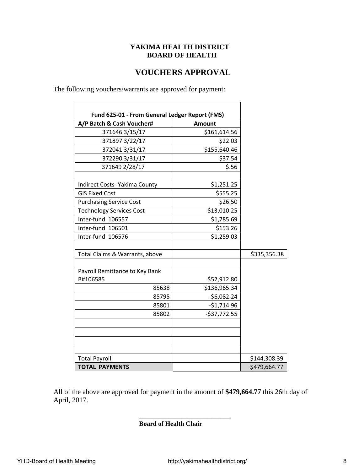#### **YAKIMA HEALTH DISTRICT BOARD OF HEALTH**

#### **VOUCHERS APPROVAL**

 $\overline{\phantom{0}}$ 

The following vouchers/warrants are approved for payment:

 $\Gamma$ 

| A/P Batch & Cash Voucher#            | <b>Amount</b> |              |
|--------------------------------------|---------------|--------------|
| 371646 3/15/17                       | \$161,614.56  |              |
| 371897 3/22/17                       | \$22.03       |              |
| 372041 3/31/17                       | \$155,640.46  |              |
| 372290 3/31/17                       | \$37.54       |              |
| 371649 2/28/17                       | \$.56         |              |
| <b>Indirect Costs- Yakima County</b> | \$1,251.25    |              |
| <b>GIS Fixed Cost</b>                | \$555.25      |              |
| <b>Purchasing Service Cost</b>       | \$26.50       |              |
| <b>Technology Services Cost</b>      | \$13,010.25   |              |
| Inter-fund 106557                    | \$1,785.69    |              |
| Inter-fund 106501                    | \$153.26      |              |
| Inter-fund 106576                    | \$1,259.03    |              |
| Total Claims & Warrants, above       |               | \$335,356.38 |
| Payroll Remittance to Key Bank       |               |              |
| B#106585                             | \$52,912.80   |              |
| 85638                                | \$136,965.34  |              |
| 85795                                | $-56,082.24$  |              |
| 85801                                | $-$1,714.96$  |              |
| 85802                                | $-537,772.55$ |              |
|                                      |               |              |
| <b>Total Payroll</b>                 |               | \$144,308.39 |
| <b>TOTAL PAYMENTS</b>                |               | \$479,664.77 |

All of the above are approved for payment in the amount of **\$479,664.77** this 26th day of April, 2017.

**\_\_\_\_\_\_\_\_\_\_\_\_\_\_\_\_\_\_\_\_\_\_\_\_\_\_\_\_**

**Board of Health Chair**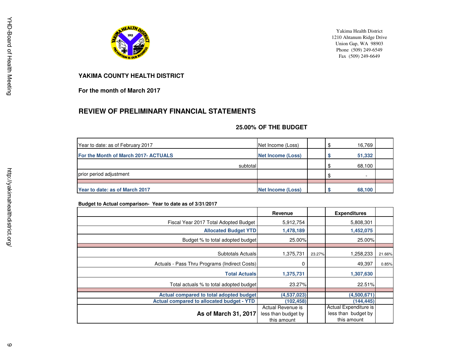

Yakima Health District 1210 Ahtanum Ridge DriveUnion Gap, WA 98903 Phone (509) 249-6549Fax (509) 249-6649

#### **YAKIMA COUNTY HEALTH DISTRICT**

**For the month of March 2017**

#### **REVIEW OF PRELIMINARY FINANCIAL STATEMENTS**

#### **25.00% OF THE BUDGET**

| Year to date: as of February 2017    | Net Income (Loss)        | 16.769 |  |
|--------------------------------------|--------------------------|--------|--|
| For the Month of March 2017- ACTUALS | <b>Net Income (Loss)</b> | 51,332 |  |
| subtotal                             |                          | 68,100 |  |
| prior period adjustment              |                          | $\sim$ |  |
|                                      |                          |        |  |
| Year to date: as of March 2017       | <b>Net Income (Loss)</b> | 68,100 |  |

#### **Budget to Actual comparison- Year to date as of 3/31/2017**

|                                                  | Revenue             |        | <b>Expenditures</b>   |        |
|--------------------------------------------------|---------------------|--------|-----------------------|--------|
| Fiscal Year 2017 Total Adopted Budget            | 5.912,754           |        | 5,808,301             |        |
| <b>Allocated Budget YTD</b>                      | 1,478,189           |        | 1,452,075             |        |
| Budget % to total adopted budget                 | 25.00%              |        | 25.00%                |        |
|                                                  |                     |        |                       |        |
| Subtotals Actuals                                | 1,375,731           | 23.27% | 1,258,233             | 21.66% |
| Actuals - Pass Thru Programs (Indirect Costs)    | 0                   |        | 49,397                | 0.85%  |
| <b>Total Actuals</b>                             | 1,375,731           |        | 1,307,630             |        |
| Total actuals % to total adopted budget          | 23.27%              |        | 22.51%                |        |
| Actual compared to total adopted budget          | (4,537,023)         |        | (4,500,671)           |        |
|                                                  |                     |        |                       |        |
| <b>Actual compared to allocated budget - YTD</b> | (102, 458)          |        | (144,445)             |        |
|                                                  | Actual Revenue is   |        | Actual Expenditure is |        |
| As of March 31, 2017                             | less than budget by |        | less than budget by   |        |
|                                                  | this amount         |        | this amount           |        |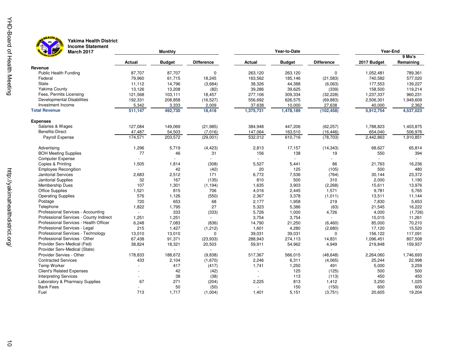



### **Yakima Health District Income Statement**

| March 2017<br>$\pi$                     |               | <b>Monthly</b> |                   | Year-to-Date   |               |                   | Year-End    |           |  |  |
|-----------------------------------------|---------------|----------------|-------------------|----------------|---------------|-------------------|-------------|-----------|--|--|
|                                         |               |                |                   |                |               |                   |             | 9 Mo's    |  |  |
|                                         | <b>Actual</b> | <b>Budget</b>  | <b>Difference</b> | <b>Actual</b>  | <b>Budget</b> | <b>Difference</b> | 2017 Budget | Remaining |  |  |
| Revenue                                 |               |                |                   |                |               |                   |             |           |  |  |
| <b>Public Health Funding</b>            | 87,707        | 87,707         | 0                 | 263,120        | 263,120       | 0                 | 1,052,481   | 789,361   |  |  |
| Federal                                 | 79,960        | 61,715         | 18,245            | 163,562        | 185,146       | (21, 583)         | 740,582     | 577,020   |  |  |
| State                                   | 11,112        | 14,796         | (3,684)           | 38,326         | 44,388        | (6,063)           | 177,553     | 139,227   |  |  |
| Yakima County                           | 13,126        | 13,208         | (82)              | 39,286         | 39,625        | (339)             | 158,500     | 119,214   |  |  |
| Fees, Permits Licensing                 | 121,568       | 103,111        | 18,457            | 277,106        | 309,334       | (32, 228)         | 1,237,337   | 960,231   |  |  |
| <b>Developmental Disabilities</b>       | 192,331       | 208,858        | (16, 527)         | 556,692        | 626,575       | (69, 883)         | 2,506,301   | 1,949,609 |  |  |
| Investment Income                       | 5,342         | 3,333          | 2,009             | 37,638         | 10,000        | 27,638            | 40,000      | 2,362     |  |  |
| <b>Total Revenue</b>                    | 511,147       | 492,730        | 18,418            | 1,375,731      | 1,478,189     | (102, 458)        | 5,912,754   | 4,537,023 |  |  |
| <b>Expenses</b>                         |               |                |                   |                |               |                   |             |           |  |  |
| Salaries & Wages                        | 127,084       | 149,069        | (21, 985)         | 384,948        | 447,206       | (62, 257)         | 1,788,823   | 1,403,875 |  |  |
| <b>Benefits-Direct</b>                  | 47,487        | 54,503         | (7,016)           | 147,064        | 163,510       | (16, 446)         | 654,040     | 506,976   |  |  |
| Payroll Expense                         | 174,571       | 203,572        | (29,001)          | 532,012        | 610,716       | (78, 703)         | 2,442,863   | 1,910,851 |  |  |
| Advertising                             | 1,296         | 5,719          | (4, 423)          | 2,813          | 17,157        | (14, 343)         | 68,627      | 65,814    |  |  |
| <b>BOH Meeting Supplies</b>             | 77            | 46             | 31                | 156            | 138           | 19                | 550         | 394       |  |  |
| <b>Computer Expense</b>                 |               |                |                   | $\overline{a}$ |               |                   |             |           |  |  |
| Copies & Printing                       | 1,505         | 1,814          | (308)             | 5,527          | 5,441         | 86                | 21,763      | 16,236    |  |  |
| <b>Employee Recongition</b>             |               | 42             | (42)              | 20             | 125           | (105)             | 500         | 480       |  |  |
| <b>Janitorial Services</b>              | 2,683         | 2,512          | 171               | 6,772          | 7,536         | (764)             | 30,144      | 23,372    |  |  |
| <b>Janitorial Supplies</b>              | 32            | 167            | (135)             | 810            | 500           | 310               | 2,000       | 1,190     |  |  |
| <b>Membership Dues</b>                  | 107           | 1,301          | (1, 194)          | 1,635          | 3,903         | (2, 268)          | 15,611      | 13,976    |  |  |
| <b>Office Supplies</b>                  | 1,521         | 815            | 706               | 4,016          | 2,445         | 1,571             | 9,781       | 5,765     |  |  |
| <b>Operating Supplies</b>               | 576           | 1,126          | (550)             | 2,367          | 3,378         | (1,011)           | 13,511      | 11,144    |  |  |
| Postage                                 | 720           | 653            | 68                | 2,177          | 1,958         | 219               | 7,830       | 5,653     |  |  |
| Telephone                               | 1,822         | 1,795          | 27                | 5,323          | 5,386         | (63)              | 21,545      | 16,222    |  |  |
| Professional Services - Accounting      |               | 333            | (333)             | 5,726          | 1,000         | 4,726             | 4,000       | (1,726)   |  |  |
| Professional Services - County Indirect | 1,251         | 1,251          |                   | 3,754          | 3,754         |                   | 15,015      | 11,261    |  |  |
| Professional Services - Health Officer  | 6,248         | 7,083          | (836)             | 14,790         | 21,250        | (6, 460)          | 85,000      | 70,210    |  |  |
| Professional Services - Legal           | 215           | 1,427          | (1, 212)          | 1,601          | 4,280         | (2,680)           | 17,120      | 15,520    |  |  |
| Professional Services - Technology      | 13,010        | 13,010         | 0                 | 39,031         | 39,031        | $\mathbf 0$       | 156,122     | 117,091   |  |  |
| Professional Services - Other           | 67,438        | 91,371         | (23, 933)         | 288,943        | 274,113       | 14,831            | 1,096,451   | 807,508   |  |  |
| Provider Serv-Medical (Fed)             | 38,824        | 18,321         | 20,503            | 59,911         | 54,962        | 4,949             | 219,848     | 159,937   |  |  |
| Provider Serv-Medical (State)           |               |                |                   |                |               |                   |             |           |  |  |
| Provider Servies - Other                | 178,833       | 188,672        | (9,838)           | 517,367        | 566,015       | (48, 648)         | 2,264,060   | 1,746,693 |  |  |
| <b>Contracted Services</b>              | 433           | 2,104          | (1,670)           | 2,246          | 6,311         | (4,065)           | 25,244      | 22,998    |  |  |
| Temp Worker                             |               | 417            | (417)             | 1,741          | 1,250         | 491               | 5,000       | 3,259     |  |  |
| <b>Client's Related Expenses</b>        |               | 42             | (42)              | $\sim$         | 125           | (125)             | 500         | 500       |  |  |
| <b>Interpreting Services</b>            |               | 38             | (38)              | $\sim$         | 113           | (113)             | 450         | 450       |  |  |
| Laboratory & Pharmacy Supplies          | 67            | 271            | (204)             | 2,225          | 813           | 1,412             | 3,250       | 1,025     |  |  |
| <b>Bank Fees</b>                        |               | 50             | (50)              | ÷,             | 150           | (150)             | 600         | 600       |  |  |
| Fuel                                    | 713           | 1,717          | (1,004)           | 1,401          | 5,151         | (3,751)           | 20,605      | 19,204    |  |  |
|                                         |               |                |                   |                |               |                   |             |           |  |  |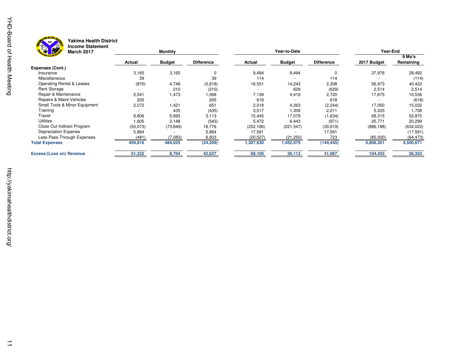



### **Yakima Health District Income Statement**

| 学<br><b>HIGAING ARTICITI</b><br><b>BEE</b><br><b>March 2017</b> |          | Monthly       |                   |            | Year-to-Date  |                   | Year-End    |                     |  |
|-----------------------------------------------------------------|----------|---------------|-------------------|------------|---------------|-------------------|-------------|---------------------|--|
|                                                                 | Actual   | <b>Budget</b> | <b>Difference</b> | Actual     | <b>Budget</b> | <b>Difference</b> | 2017 Budget | 9 Mo's<br>Remaining |  |
| Expenses (Cont.)                                                |          |               |                   |            |               |                   |             |                     |  |
| Insurance                                                       | 3,165    | 3,165         |                   | 9,494      | 9,494         |                   | 37,976      | 28,482              |  |
| Miscellaneous                                                   | 39       |               | 39                | 114        |               | 114               |             | (114)               |  |
| Operating Rental & Leases                                       | (870)    | 4,748         | (5,618)           | 16,551     | 14,243        | 2,308             | 56,973      | 40,422              |  |
| <b>Rent Storage</b>                                             |          | 210           | (210)             |            | 629           | (629)             | 2,514       | 2,514               |  |
| Repair & Maintenance                                            | 2,541    | 1,473         | 1,068             | 7,139      | 4,419         | 2,720             | 17,675      | 10,536              |  |
| Repairs & Maint-Vehicles                                        | 205      |               | 205               | 618        |               | 618               |             | (618)               |  |
| Small Tools & Minor Equipment                                   | 2,072    | .421          | 651               | 2,018      | 4,263         | (2, 244)          | 17,050      | 15,032              |  |
| Training                                                        |          | 435           | (435)             | 3,517      | 1,306         | 2,211             | 5,225       | 1,708               |  |
| Travel                                                          | 8,806    | 5,693         | 3,113             | 15,445     | 17,079        | (1,634)           | 68,315      | 52,870              |  |
| Utilities                                                       | 1,605    | 2,148         | (543)             | 5,472      | 6,443         | (971)             | 25,771      | 20,299              |  |
| Close Out Indirect Program                                      | (55,073) | (73, 849)     | 18,776            | (252, 166) | (221, 547)    | (30, 619)         | (886, 188)  | (634, 022)          |  |
| Depreciation Expense                                            | 5,864    |               | 5,864             | 17,591     |               | 17,591            |             | (17, 591)           |  |
| Less Pass-Through Expenses                                      | (481     | (7,083)       | 6,603             | (20, 527)  | (21, 250)     | 723               | (85,000)    | (64, 473)           |  |
| <b>Total Expenses</b>                                           | 459,816  | 484,025       | (24, 209)         | 1,307,630  | 1,452,075     | (144, 445)        | 5,808,301   | 4,500,671           |  |
| <b>Excess/(Loss on) Revenue</b>                                 | 51,332   | 8,704         | 42,627            | 68,100     | 26,113        | 41,987            | 104,453     | 36,353              |  |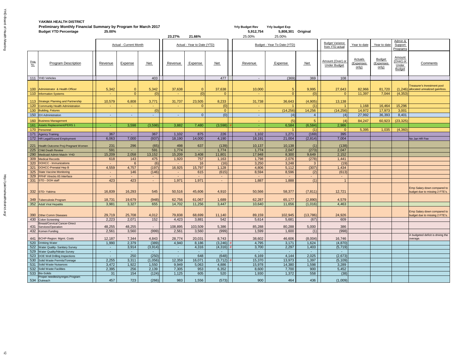### **YAKIMA HEALTH DISTRICT Preliminary Monthly Financial Summary by Program for March 2017 Yrly Budget Rev** Yrly Budget Rev Yrly budget Exp

|                                | Preminiary Monthly Financial Summary by Program for March 2017<br><b>Budget YTD Percentage</b> | 25.00%          |                               |                 | 23.27%           | 21.66%                      |                 | Triy budget Rev<br>5,912,754<br>25.00% | Triy puuget Exp<br>5,808,301 Original<br>25.00% |              |                                           |                                      |                                    |                                               |                                                                          |
|--------------------------------|------------------------------------------------------------------------------------------------|-----------------|-------------------------------|-----------------|------------------|-----------------------------|-----------------|----------------------------------------|-------------------------------------------------|--------------|-------------------------------------------|--------------------------------------|------------------------------------|-----------------------------------------------|--------------------------------------------------------------------------|
|                                |                                                                                                |                 | <b>Actual - Current Month</b> |                 |                  | Actual - Year to Date (YTD) |                 |                                        | Budget - Year To Date (YTD)                     |              | <b>Budget Variance</b><br>from YTD actual | Year to date                         | Year to date                       | Admin &<br>Support<br>Programs                |                                                                          |
| $rac{\text{Prog}}{\text{No.}}$ | <b>Program Description</b>                                                                     | <b>Revenue</b>  | <b>Expense</b>                | Net             | Revenue          | <b>Expense</b>              | <u>Net</u>      | Revenue                                | <b>Expense</b>                                  | Net          | Amount (Over) or<br><b>Under Budget</b>   | <b>Actuals</b><br>(Expenses<br>only) | <b>Budget</b><br>Expenses<br>only) | <b>Amount</b><br>(Over) or<br>Under<br>Budget | <b>Comments</b>                                                          |
|                                | 111 YHD Vehicles                                                                               |                 |                               | 403             |                  |                             | 477             | $\sim$                                 | (369)                                           | 369          | 108                                       |                                      |                                    |                                               |                                                                          |
|                                | 100 Administrator & Health Officer                                                             | 5,342           | $\mathbf{0}$                  | 5,342           | 37,638           |                             | 37,638          | 10,000                                 |                                                 | 9,995        | 27,643                                    | 82,966                               | 81,720                             |                                               | Treasurer's Investment pool<br>$(1,246)$ allocated unrealized gain/loss. |
|                                | 110 Information Systems                                                                        |                 | $\Omega$                      | (0)             |                  | (0)                         |                 |                                        |                                                 |              |                                           | 11,397                               | 7,044                              | (4, 353)                                      |                                                                          |
|                                | 113 Strategic Planning and Partnership                                                         | 10,579          | 6,808                         | 3,771           | 31,737           | 23,505                      | 8,233           | 31,738                                 | 36,643                                          | (4,905)      | 13,138                                    |                                      |                                    |                                               |                                                                          |
|                                | 120 Community Health Administration                                                            |                 | contract.                     | $\sim$          |                  |                             | (0)             |                                        |                                                 | (1)          |                                           | 1,168                                | 16,464                             | 15,296                                        |                                                                          |
|                                | 130 Building, Fixtures<br>150 EH Administration                                                |                 | <b>Section</b>                | (0)             |                  |                             | $\Omega$<br>(0) | ۰.                                     | (14, 256)<br>(4)                                | 14,256       | (14, 256)<br>(4)                          | 14,972<br>27,992                     | 17,973<br>36,393                   | 3,001<br>8,401                                |                                                                          |
|                                |                                                                                                |                 |                               |                 |                  |                             |                 |                                        |                                                 |              |                                           |                                      |                                    |                                               |                                                                          |
| 161                            | 160 Business Management<br>Assets Replacement/PERS 1                                           |                 | 3,598                         | (3,598)         | 3,882            | 7,480                       | (3,598)         |                                        | (5)<br>6,584                                    | (6, 584)     | (4)<br>2,986                              | 84,247                               | 60,923                             | (23, 325)                                     |                                                                          |
|                                | 170 Personnel                                                                                  |                 |                               |                 |                  |                             |                 |                                        |                                                 | (1)          | $\Omega$                                  | 5,395                                | 1,035                              | (4, 360)                                      |                                                                          |
|                                | 171 Agency Training                                                                            | 367             | $\sim$                        | 367             | 1,102            | 875                         | 226             | 1,102                                  | 1,271                                           | (169)        | 395                                       |                                      |                                    |                                               |                                                                          |
|                                | 172   HR Legal/Sound Employment                                                                | 6,063           | 7,000                         | (937)           | 18,190           | 14,000                      | 4,190           | 18,191                                 | 21,004                                          | (2,814)      | 7,004                                     |                                      |                                    |                                               | No Jan HR Fee                                                            |
|                                |                                                                                                |                 |                               |                 |                  |                             |                 |                                        |                                                 |              |                                           |                                      |                                    |                                               |                                                                          |
|                                | 221   Health Outcome Proj-Pregnant Women<br>225 Child Death Review                             | 231<br>591      | 296                           | (65)<br>591     | 498<br>1,774     | 637                         | (139)<br>1,774  | 10,137<br>1,774                        | 10,138<br>2,047                                 | (273)        | (138)<br>2,047                            |                                      |                                    |                                               |                                                                          |
|                                | 290 Medicaid Admin Match-YHD                                                                   | 15,209          | 2,058                         | 13,152          | 15,209           | $\sim$<br>3,408             | 11,801          | 17,948                                 | 8,300                                           | 9,649        | 2,152                                     |                                      |                                    |                                               |                                                                          |
|                                | 309 Medical Records                                                                            | 618             | 143                           | 475             | 1,920            | 757                         | 1,163           | 1,798                                  | 2,076                                           | (278)        | 1,441                                     |                                      |                                    |                                               |                                                                          |
| 320                            | DOHCC - Immunizations                                                                          |                 |                               | (6)             |                  | 16                          | (16)            | 3,250                                  | 3,248                                           |              | (19)                                      |                                      |                                    |                                               |                                                                          |
|                                | 321 DOHCC-Prenatal Hep B                                                                       | 4,559           | 4,757                         | (197)           | 16,925           | 15,797                      | 1,128           | 4,806                                  | 5,112                                           | (307)        | 1,434                                     |                                      |                                    |                                               |                                                                          |
|                                | 325 State Vaccine Monitoring                                                                   |                 | 146                           | (146)           |                  | 615                         | (615)           | 8,594                                  | 8,596                                           | (2)          | (613)                                     |                                      |                                    |                                               |                                                                          |
|                                | 329 PPHF Vtrecks IIS Interface                                                                 |                 |                               |                 |                  |                             |                 |                                        |                                                 |              |                                           |                                      |                                    |                                               |                                                                          |
|                                | 331 STD - DOH staff                                                                            | 423             | 423                           | $\blacksquare$  | 1,971            | 1,971                       | $\sim$          | 1,887                                  | 1,888                                           | (1)          |                                           |                                      |                                    |                                               |                                                                          |
|                                | 332 STD-Yakima                                                                                 | 16,839          | 16,293                        | 545             | 50,516           | 45,606                      | 4,910           | 50,566                                 | 58,377                                          | (7, 811)     | 12,721                                    |                                      |                                    |                                               | Emp Salary down compared to<br>budget due to missing 2 FTE's.            |
|                                | 349 Tuberculosis Program                                                                       | 18,731          | 19,679                        | (948)           | 62,756           | 61,067                      | 1,689           | 62,287                                 | 65,177                                          | (2,890)      | 4,579                                     |                                      |                                    |                                               |                                                                          |
|                                | 352 Adult Viral Hepatitis                                                                      | 3,981           | 3,327                         | 655             | 14,702           | 11,256                      | 3,447           | 10,640                                 | 11,656                                          | (1,016)      | 4,463                                     |                                      |                                    |                                               |                                                                          |
|                                | 390 Other Comm Diseases                                                                        | 29,719          | 25,708                        | 4,012           | 79,838           | 68,699                      | 11,140          | 89,159                                 | 102,945                                         | (13,786)     | 24,926                                    |                                      |                                    |                                               | Emp Salary down compared to<br>budget due to missing 2 FTE's.            |
|                                | 430 Colon Screening                                                                            | 2,223           | 2,071                         | 152             | 4,423            | 3,881                       | 542             | 5,614                                  | 5,681                                           | (67)         | 609                                       |                                      |                                    |                                               |                                                                          |
|                                | <b>Breast/Cervical Cancer-Direct</b>                                                           |                 |                               |                 |                  |                             |                 |                                        |                                                 |              |                                           |                                      |                                    |                                               |                                                                          |
| 431                            | Services/Operation<br>432 Komen Funding                                                        | 48,255<br>2,561 | 48,255<br>3,560               | $\sim$<br>(999) | 108,895<br>2,561 | 103,509<br>3,560            | 5,386<br>(999)  | 85,288<br>1,599                        | 80,288<br>1,600                                 | 5,000<br>(1) | 386<br>(998)                              |                                      |                                    |                                               |                                                                          |
|                                |                                                                                                | 12,187          | 7,344                         | 4,843           | 28,774           | 20,031                      | 8,743           | 38,602                                 | 46,606                                          | (8,004)      | 16,746                                    |                                      |                                    |                                               | A budgeted deficit is driving the                                        |
|                                | 441   BCHP-Region: Mgmt. Costs<br>520 Drinking Water                                           | 1,990           | 2,379                         | (389)           | 4,940            | 8,186                       | (3,246)         | 4,795                                  | 3,171                                           | 1,624        | (4,870)                                   |                                      |                                    |                                               | overage.                                                                 |
|                                | 522 Water Quality- Sanitary Survey                                                             | $\sim$          | 3,914                         | (3,914)         |                  | 4,316                       | (4,316)         | 3,700                                  | 2,297                                           | 1,403        | (5, 719)                                  |                                      |                                    |                                               |                                                                          |
|                                | 529 Water Quality/Nitrate Survey                                                               |                 |                               | $\sim$          |                  |                             |                 |                                        | $\sim$ .                                        | ж.           |                                           |                                      |                                    |                                               |                                                                          |
|                                | 523 DOE Well Drilling Inspections                                                              |                 | 250                           | (250)           |                  | 648                         | (648)           | 6,169                                  | 4,144                                           | 2,025        | (2,673)                                   |                                      |                                    |                                               |                                                                          |
|                                | 530 Solid Waste Permits/Tonnage                                                                | 2,255           | 3,311                         | (1,056)         | 12,359           | 16,071                      | (3,712)         | 15,370                                 | 13,973                                          | 1,397        | (5, 109)                                  |                                      |                                    |                                               |                                                                          |
|                                | 531 Solid Waste Nuisances                                                                      | 3,472           | 1,922                         | 1,550           | 9,949            | 5,063                       | 4,886           | 15,978                                 | 14,380                                          | 1,598        | 3,289                                     |                                      |                                    |                                               |                                                                          |
|                                | 532 Solid Waste Facilities                                                                     | 2,395           | 256                           | 2,139           | 7,305            | 953                         | 6,352           | 8,600                                  | 7,700                                           | 900          | 5,452                                     |                                      |                                    |                                               |                                                                          |
|                                | 533 Bio-Solids<br>Proper needles/syringes Program                                              | 31              | 154                           | (124)           | 1,125            | 605                         | 520             | 1,930                                  | 1,372                                           | 558          | (38)                                      |                                      |                                    |                                               |                                                                          |
|                                | 534 Outreach                                                                                   | 457             | 723                           | (266)           | 983              | 1,556                       | (573)           | 900                                    | 464                                             | 436          | (1,009)                                   |                                      |                                    |                                               |                                                                          |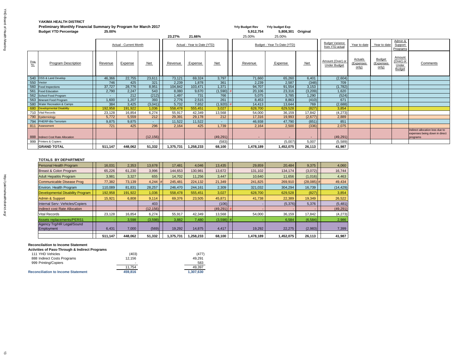### **YAKIMA HEALTH DISTRICT Preliminary Monthly Financial Summary by Program for March 2017 The State of Archival Archivation Construction Construction Construction Construction Construction Construction Construction Construction Construction Cons**

|                    | <b>Budget YTD Percentage</b>        | 25.00%         |                               |                |                |                             |             | 5,912,754 | 5,808,301 Original          |            |                                           |                                      |                                     |                                                      |                                                                              |
|--------------------|-------------------------------------|----------------|-------------------------------|----------------|----------------|-----------------------------|-------------|-----------|-----------------------------|------------|-------------------------------------------|--------------------------------------|-------------------------------------|------------------------------------------------------|------------------------------------------------------------------------------|
|                    |                                     |                |                               |                | 23.27%         | 21.66%                      |             | 25.00%    | 25.00%                      |            |                                           |                                      |                                     |                                                      |                                                                              |
|                    |                                     |                | <b>Actual - Current Month</b> |                |                | Actual - Year to Date (YTD) |             |           | Budget - Year To Date (YTD) |            | <b>Budget Variance</b><br>from YTD actual | Year to date                         | Year to date                        | Admin &<br>Support<br>Programs                       |                                                                              |
| Prog<br><u>No.</u> | <b>Program Description</b>          | <b>Revenue</b> | <u>Expense</u>                | <b>Net</b>     | <b>Revenue</b> | <b>Expense</b>              | Net         | Revenue   | <b>Expense</b>              | <b>Net</b> | Amount (Over) or<br><b>Under Budget</b>   | <b>Actuals</b><br>(Expenses<br>only) | <b>Budget</b><br>(Expenses<br>only) | Amount<br>(Over) or<br><b>Under</b><br><b>Budget</b> | <b>Comments</b>                                                              |
|                    | 540 OSS & Land Develop              | 46,366         | 22,755                        | 23,611         | 73,121         | 69,324                      | 3,797       | 71,660    | 65,260                      | 6,401      | (2,604)                                   |                                      |                                     |                                                      |                                                                              |
|                    | 550 Vector                          | 746            | 425                           | 321            | 2,239          | 1,878                       | 361         | 2,239     | 2,587                       | (348)      | 709                                       |                                      |                                     |                                                      |                                                                              |
|                    | 560   Food Inspections              | 37,727         | 28,776                        | 8,951          | 104,842        | 103,471                     | 1,371       | 94,707    | 91,554                      | 3,153      | (1,782)                                   |                                      |                                     |                                                      |                                                                              |
|                    | 561 Food Education                  | 2,790          | 2,247                         | 543            | 8,080          | 9,670                       | $(1,590)$ # | 20,106    | 23,316                      | (3,209)    | 1,620                                     |                                      |                                     |                                                      |                                                                              |
|                    | 562 School Food Program             | $\sim$         | 212                           | (212)          | 1,497          | 731                         | 766         | 5,075     | 3,785                       | 1,290      | (524)                                     |                                      |                                     |                                                      |                                                                              |
|                    | 563 Itinerant Food Program          | 1,600          | 1,207                         | 393            | 2,776          | 2,515                       | 261         | 8,453     | 8,863                       | (410)      | 671                                       |                                      |                                     |                                                      |                                                                              |
|                    | 580 Water Recreation & Camps        | 384            | 3,425                         | (3,041)        | 5,732          | 7,652                       | $(1,920)$ # | 14,413    | 13,644                      | 769        | (2,688)                                   |                                      |                                     |                                                      |                                                                              |
|                    | 680 Developmental Disability        | 192,958        | 191,922                       | 1,036          | 558,478        | 555,451                     | 3,027       | 628,700   | 629,528                     | (827)      | 3,854                                     |                                      |                                     |                                                      |                                                                              |
|                    | 710 Vital Records                   | 23,128         | 16,854                        | 6,274          | 55,917         | 42,349                      | 13,568      | 54,000    | 36,159                      | 17,842     | (4,273)                                   |                                      |                                     |                                                      |                                                                              |
|                    | 790 Epidemiology                    | 5,772          | 5,559                         | 212            | 29,391         | 29,178                      | 212         | 17,316    | 19,993                      | (2,677)    | 2,889                                     |                                      |                                     |                                                      |                                                                              |
|                    | 794 PHERP-Bio Terrorism             | 9,875          | 9,875                         |                | 11,522         | 11,522                      |             | 46,938    | 47,790                      | (851)      | 851                                       |                                      |                                     |                                                      |                                                                              |
|                    | 811 Assessment                      | 721            | 425                           | 296            | 2,164          | 425                         | 1,739       | 2,164     | 2,500                       | (336)      | 2,075                                     |                                      |                                     |                                                      |                                                                              |
|                    | 888   Indirect Cost Rate Allocation |                |                               | (12, 156)      |                |                             | (49, 291)   |           |                             |            | (49, 291)                                 |                                      |                                     |                                                      | Indirect allocation loss due to<br>expenses being down in direct<br>programs |
|                    | 999 Printers & Copiers              |                |                               | $\blacksquare$ |                |                             | (583)       |           | (5,007)                     | 5,007      | (5,589)                                   |                                      |                                     |                                                      |                                                                              |
|                    | <b>GRAND TOTAL</b>                  | 511,147        | 448,062                       | 51,332         | 1,375,731      | 1,258,233                   | 68,100      | 1,478,189 | 1,452,075                   | 26,113     | 41,987                                    |                                      |                                     |                                                      |                                                                              |

#### **TOTALS BY DEPARTMENT**

| <b>Personal Health Program</b>          | 16,031  | 2,353   | 13,678    | 17,481    | 4,046     | 13,435       | 29,859    | 20,484    | 9,375        | 4,060     |
|-----------------------------------------|---------|---------|-----------|-----------|-----------|--------------|-----------|-----------|--------------|-----------|
| Breast & Colon Program                  | 65,226  | 61,230  | 3,996     | 144,653   | 130,981   | 13,672       | 131,102   | 134,174   | (3,072)      | 16,744    |
| <b>Adult Hepatitis Program</b>          | 3,981   | 3,327   | 655       | 14,702    | 11,256    | 3,447        | 10,640    | 11,656    | (1,016)      | 4,463     |
| Communicable Disease Prog               | 77,382  | 73,139  | 4,244     | 245,481   | 224,132   | 21,349       | 241,825   | 269,910   | $(28,085)$ # | 49,434    |
| Environ. Health Program                 | 110,089 | 81,831  | 28,257    | 246,470   | 244,161   | 2,309        | 321,032   | 304,294   | 16,739       | (14, 429) |
| <b>Developmental Disability Program</b> | 192,958 | 191,922 | 1,036     | 558,478   | 555,451   | 3,027        | 628,700   | 629,528   | (827)        | 3,854     |
| Admin & Support                         | 15,921  | 6,808   | 9,114     | 69,376    | 23,505    | 45,871       | 41,738    | 22,389    | 19,349       | 26,522    |
| Internal Serv- Vehicles/Copiers         |         |         | 403       |           |           | (106)        |           | (5,376)   | 5,376        | (5,481)   |
| Indirect cost Rate Allocation           |         |         | (12, 156) |           |           | $(49,291)$ # |           |           |              | (49, 291) |
| <b>Vital Records</b>                    | 23,128  | 16,854  | 6,274     | 55,917    | 42,349    | 13,568       | 54,000    | 36,159    | 17,842       | (4,273)   |
| <b>Assets replacements/PERS1</b>        |         | 3,598   | (3,598)   | 3,882     | 7,480     | $(3,598)$ #  |           | 6,584     | (6, 584)     | 2,986     |
| Agency Trg/HR Legal/Sound               |         |         |           |           |           |              |           |           |              |           |
| Employment                              | 6,431   | 7,000   | (569)     | 19,292    | 14,875    | 4,417        | 19,292    | 22,275    | (2,983)      | 7,399     |
|                                         | 511,147 | 448,062 | 51,332    | 1,375,731 | 1,258,233 | 68,100       | 1,478,189 | 1,452,075 | 26,113       | 41,987    |

#### **Reconcilaition to Income Statement**

**Activities of Pass-Through & Indirect Programs**

| 111 YHD Vehicles                          | (403)   | (477)     |
|-------------------------------------------|---------|-----------|
| 888 Indirect Costs Programs               | 12,156  | 49,291    |
| 999 Printing/Copiers                      |         | 583       |
|                                           | 11.754  | 49,397    |
| <b>Reconciliation to Income Statement</b> | 459,816 | 1,307,630 |